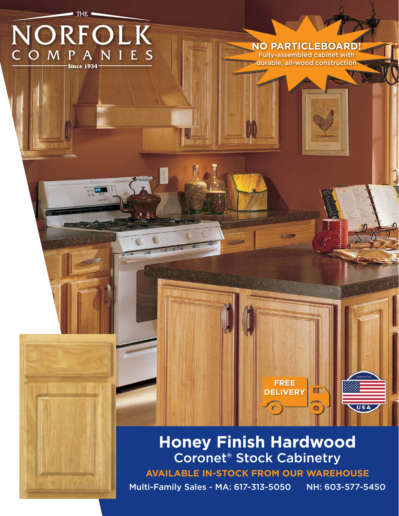

# **Honey Finish Hardwood** Coronet® Stock Cabinetry

**AVAILABLE IN-STOCK FROM OUR WAREHOUSE**

Multi-Family Sales - MA: 617-313-5050 NH: 603-577-5450